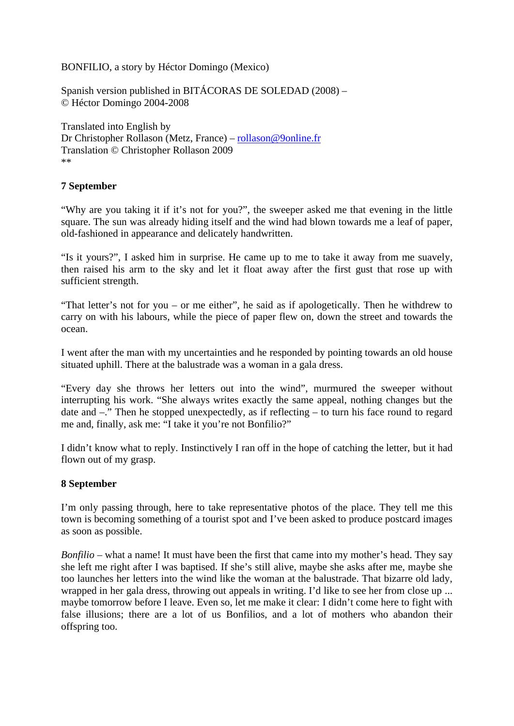BONFILIO, a story by Héctor Domingo (Mexico)

Spanish version published in BITÁCORAS DE SOLEDAD (2008) – © Héctor Domingo 2004-2008

Translated into English by Dr Christopher Rollason (Metz, France) – rollason@9online.fr Translation © Christopher Rollason 2009 \*\*

## **7 September**

"Why are you taking it if it's not for you?", the sweeper asked me that evening in the little square. The sun was already hiding itself and the wind had blown towards me a leaf of paper, old-fashioned in appearance and delicately handwritten.

"Is it yours?", I asked him in surprise. He came up to me to take it away from me suavely, then raised his arm to the sky and let it float away after the first gust that rose up with sufficient strength.

"That letter's not for you – or me either", he said as if apologetically. Then he withdrew to carry on with his labours, while the piece of paper flew on, down the street and towards the ocean.

I went after the man with my uncertainties and he responded by pointing towards an old house situated uphill. There at the balustrade was a woman in a gala dress.

"Every day she throws her letters out into the wind", murmured the sweeper without interrupting his work. "She always writes exactly the same appeal, nothing changes but the date and –." Then he stopped unexpectedly, as if reflecting – to turn his face round to regard me and, finally, ask me: "I take it you're not Bonfilio?"

I didn't know what to reply. Instinctively I ran off in the hope of catching the letter, but it had flown out of my grasp.

### **8 September**

I'm only passing through, here to take representative photos of the place. They tell me this town is becoming something of a tourist spot and I've been asked to produce postcard images as soon as possible.

*Bonfilio* – what a name! It must have been the first that came into my mother's head. They say she left me right after I was baptised. If she's still alive, maybe she asks after me, maybe she too launches her letters into the wind like the woman at the balustrade. That bizarre old lady, wrapped in her gala dress, throwing out appeals in writing. I'd like to see her from close up ... maybe tomorrow before I leave. Even so, let me make it clear: I didn't come here to fight with false illusions; there are a lot of us Bonfilios, and a lot of mothers who abandon their offspring too.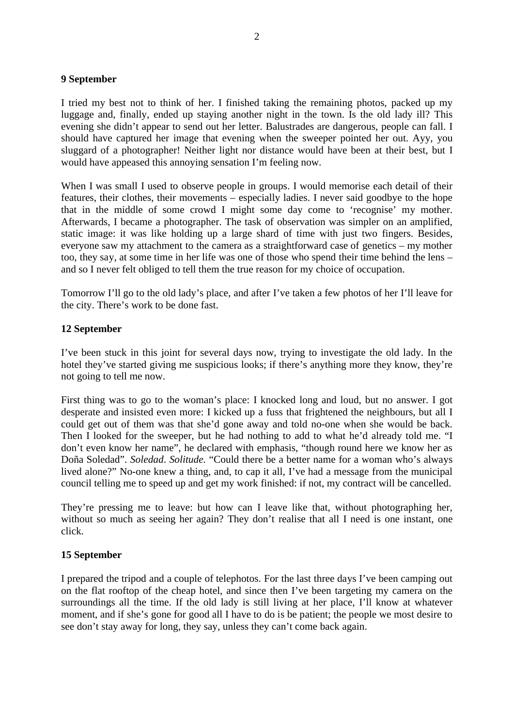#### **9 September**

I tried my best not to think of her. I finished taking the remaining photos, packed up my luggage and, finally, ended up staying another night in the town. Is the old lady ill? This evening she didn't appear to send out her letter. Balustrades are dangerous, people can fall. I should have captured her image that evening when the sweeper pointed her out. Ayy, you sluggard of a photographer! Neither light nor distance would have been at their best, but I would have appeased this annoying sensation I'm feeling now.

When I was small I used to observe people in groups. I would memorise each detail of their features, their clothes, their movements – especially ladies. I never said goodbye to the hope that in the middle of some crowd I might some day come to 'recognise' my mother. Afterwards, I became a photographer. The task of observation was simpler on an amplified, static image: it was like holding up a large shard of time with just two fingers. Besides, everyone saw my attachment to the camera as a straightforward case of genetics – my mother too, they say, at some time in her life was one of those who spend their time behind the lens – and so I never felt obliged to tell them the true reason for my choice of occupation.

Tomorrow I'll go to the old lady's place, and after I've taken a few photos of her I'll leave for the city. There's work to be done fast.

#### **12 September**

I've been stuck in this joint for several days now, trying to investigate the old lady. In the hotel they've started giving me suspicious looks; if there's anything more they know, they're not going to tell me now.

First thing was to go to the woman's place: I knocked long and loud, but no answer. I got desperate and insisted even more: I kicked up a fuss that frightened the neighbours, but all I could get out of them was that she'd gone away and told no-one when she would be back. Then I looked for the sweeper, but he had nothing to add to what he'd already told me. "I don't even know her name", he declared with emphasis, "though round here we know her as Doña Soledad". *Soledad*. *Solitude.* "Could there be a better name for a woman who's always lived alone?" No-one knew a thing, and, to cap it all, I've had a message from the municipal council telling me to speed up and get my work finished: if not, my contract will be cancelled.

They're pressing me to leave: but how can I leave like that, without photographing her, without so much as seeing her again? They don't realise that all I need is one instant, one click.

### **15 September**

I prepared the tripod and a couple of telephotos. For the last three days I've been camping out on the flat rooftop of the cheap hotel, and since then I've been targeting my camera on the surroundings all the time. If the old lady is still living at her place, I'll know at whatever moment, and if she's gone for good all I have to do is be patient; the people we most desire to see don't stay away for long, they say, unless they can't come back again.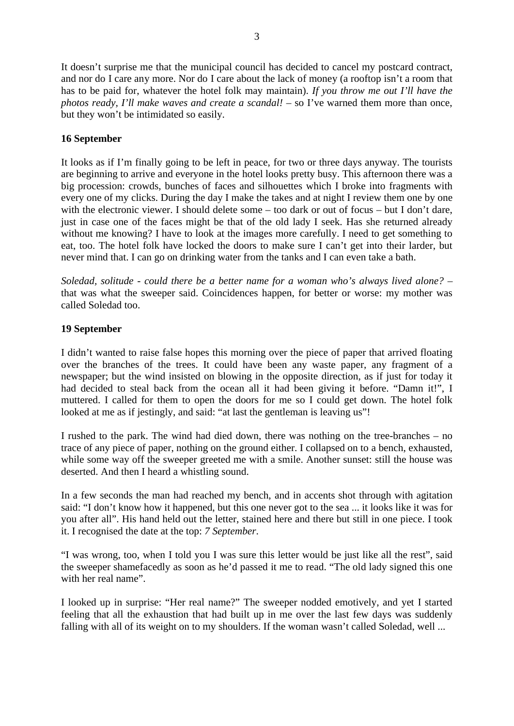It doesn't surprise me that the municipal council has decided to cancel my postcard contract, and nor do I care any more. Nor do I care about the lack of money (a rooftop isn't a room that has to be paid for, whatever the hotel folk may maintain). *If you throw me out I'll have the photos ready, I'll make waves and create a scandal!* – so I've warned them more than once, but they won't be intimidated so easily.

# **16 September**

It looks as if I'm finally going to be left in peace, for two or three days anyway. The tourists are beginning to arrive and everyone in the hotel looks pretty busy. This afternoon there was a big procession: crowds, bunches of faces and silhouettes which I broke into fragments with every one of my clicks. During the day I make the takes and at night I review them one by one with the electronic viewer. I should delete some – too dark or out of focus – but I don't dare, just in case one of the faces might be that of the old lady I seek. Has she returned already without me knowing? I have to look at the images more carefully. I need to get something to eat, too. The hotel folk have locked the doors to make sure I can't get into their larder, but never mind that. I can go on drinking water from the tanks and I can even take a bath.

*Soledad, solitude - could there be a better name for a woman who's always lived alone?* – that was what the sweeper said. Coincidences happen, for better or worse: my mother was called Soledad too.

# **19 September**

I didn't wanted to raise false hopes this morning over the piece of paper that arrived floating over the branches of the trees. It could have been any waste paper, any fragment of a newspaper; but the wind insisted on blowing in the opposite direction, as if just for today it had decided to steal back from the ocean all it had been giving it before. "Damn it!", I muttered. I called for them to open the doors for me so I could get down. The hotel folk looked at me as if jestingly, and said: "at last the gentleman is leaving us"!

I rushed to the park. The wind had died down, there was nothing on the tree-branches – no trace of any piece of paper, nothing on the ground either. I collapsed on to a bench, exhausted, while some way off the sweeper greeted me with a smile. Another sunset: still the house was deserted. And then I heard a whistling sound.

In a few seconds the man had reached my bench, and in accents shot through with agitation said: "I don't know how it happened, but this one never got to the sea ... it looks like it was for you after all". His hand held out the letter, stained here and there but still in one piece. I took it. I recognised the date at the top: *7 September*.

"I was wrong, too, when I told you I was sure this letter would be just like all the rest", said the sweeper shamefacedly as soon as he'd passed it me to read. "The old lady signed this one with her real name".

I looked up in surprise: "Her real name?" The sweeper nodded emotively, and yet I started feeling that all the exhaustion that had built up in me over the last few days was suddenly falling with all of its weight on to my shoulders. If the woman wasn't called Soledad, well ...